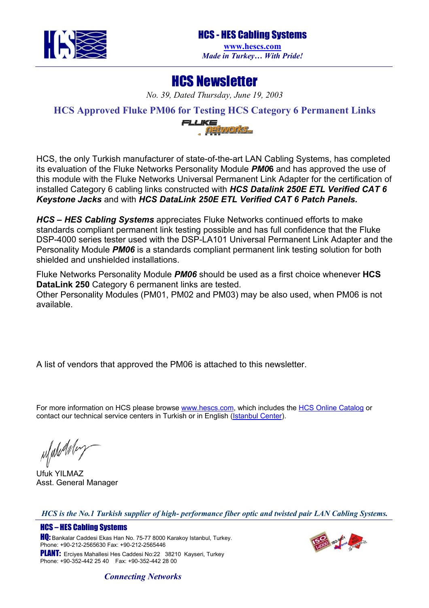

## HCS Newsletter

*No. 39, Dated Thursday, June 19, 2003* 

**HCS Approved Fluke PM06 for Testing HCS Category 6 Permanent Links** 



HCS, the only Turkish manufacturer of state-of-the-art LAN Cabling Systems, has completed its evaluation of the Fluke Networks Personality Module *PM0***6** and has approved the use of this module with the Fluke Networks Universal Permanent Link Adapter for the certification of installed Category 6 cabling links constructed with *HCS Datalink 250E ETL Verified CAT 6 Keystone Jacks* and with *HCS DataLink 250E ETL Verified CAT 6 Patch Panels.*

*HCS – HES Cabling Systems* appreciates Fluke Networks continued efforts to make standards compliant permanent link testing possible and has full confidence that the Fluke DSP-4000 series tester used with the DSP-LA101 Universal Permanent Link Adapter and the Personality Module *PM06* is a standards compliant permanent link testing solution for both shielded and unshielded installations.

Fluke Networks Personality Module *PM06* should be used as a first choice whenever **HCS DataLink 250** Category 6 permanent links are tested.

Other Personality Modules (PM01, PM02 and PM03) may be also used, when PM06 is not available.

A list of vendors that approved the PM06 is attached to this newsletter.

For more information on HCS please browse [www.hescs.com](http://www.hescs.com/), which includes the [HCS Online Catalog](http://www.hescs.com/catalog/index.asp) or contact our technical service centers in Turkish or in English ([Istanbul Center\)](mailto:info@hescs.com).

ufuleArley

Ufuk YILMAZ Asst. General Manager

*HCS is the No.1 Turkish supplier of high- performance fiber optic and twisted pair LAN Cabling Systems.* 

HCS – HES Cabling Systems **HQ:** Bankalar Caddesi Ekas Han No. 75-77 8000 Karakoy Istanbul, Turkey. Phone: +90-212-2565630 Fax: +90-212-2565446 PLANT: Erciyes Mahallesi Hes Caddesi No:22 38210 Kayseri, Turkey Phone: +90-352-442 25 40 Fax: +90-352-442 28 00



## *Connecting Networks*